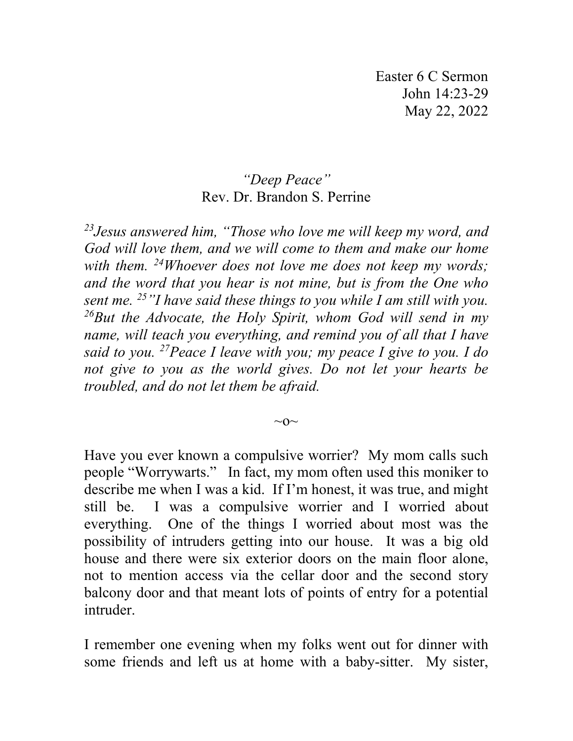Easter 6 C Sermon John 14:23-29 May 22, 2022

## *"Deep Peace"* Rev. Dr. Brandon S. Perrine

*23Jesus answered him, "Those who love me will keep my word, and God will love them, and we will come to them and make our home with them. 24Whoever does not love me does not keep my words; and the word that you hear is not mine, but is from the One who sent me. 25"I have said these things to you while I am still with you. 26But the Advocate, the Holy Spirit, whom God will send in my name, will teach you everything, and remind you of all that I have said to you. 27Peace I leave with you; my peace I give to you. I do not give to you as the world gives. Do not let your hearts be troubled, and do not let them be afraid.*

 $\sim$ O $\sim$ 

Have you ever known a compulsive worrier? My mom calls such people "Worrywarts." In fact, my mom often used this moniker to describe me when I was a kid. If I'm honest, it was true, and might still be. I was a compulsive worrier and I worried about everything. One of the things I worried about most was the possibility of intruders getting into our house. It was a big old house and there were six exterior doors on the main floor alone, not to mention access via the cellar door and the second story balcony door and that meant lots of points of entry for a potential intruder.

I remember one evening when my folks went out for dinner with some friends and left us at home with a baby-sitter. My sister,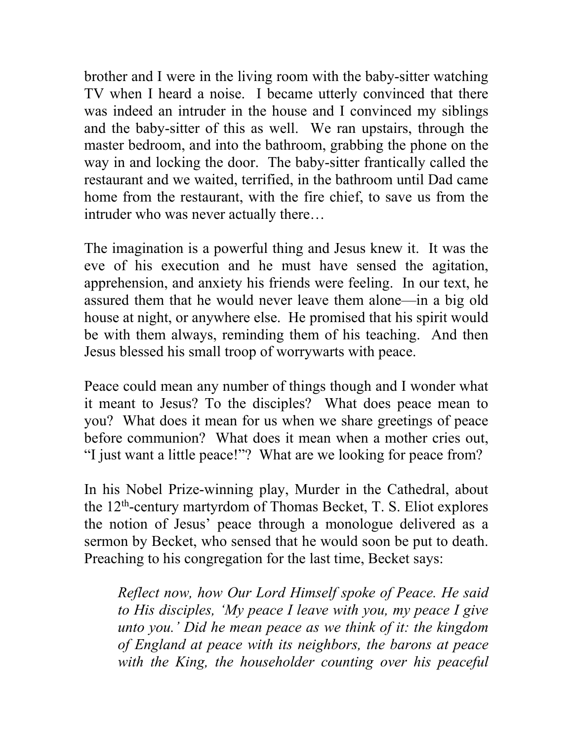brother and I were in the living room with the baby-sitter watching TV when I heard a noise. I became utterly convinced that there was indeed an intruder in the house and I convinced my siblings and the baby-sitter of this as well. We ran upstairs, through the master bedroom, and into the bathroom, grabbing the phone on the way in and locking the door. The baby-sitter frantically called the restaurant and we waited, terrified, in the bathroom until Dad came home from the restaurant, with the fire chief, to save us from the intruder who was never actually there…

The imagination is a powerful thing and Jesus knew it. It was the eve of his execution and he must have sensed the agitation, apprehension, and anxiety his friends were feeling. In our text, he assured them that he would never leave them alone—in a big old house at night, or anywhere else. He promised that his spirit would be with them always, reminding them of his teaching. And then Jesus blessed his small troop of worrywarts with peace.

Peace could mean any number of things though and I wonder what it meant to Jesus? To the disciples? What does peace mean to you? What does it mean for us when we share greetings of peace before communion? What does it mean when a mother cries out, "I just want a little peace!"? What are we looking for peace from?

In his Nobel Prize-winning play, Murder in the Cathedral, about the 12th-century martyrdom of Thomas Becket, T. S. Eliot explores the notion of Jesus' peace through a monologue delivered as a sermon by Becket, who sensed that he would soon be put to death. Preaching to his congregation for the last time, Becket says:

*Reflect now, how Our Lord Himself spoke of Peace. He said to His disciples, 'My peace I leave with you, my peace I give unto you.' Did he mean peace as we think of it: the kingdom of England at peace with its neighbors, the barons at peace with the King, the householder counting over his peaceful*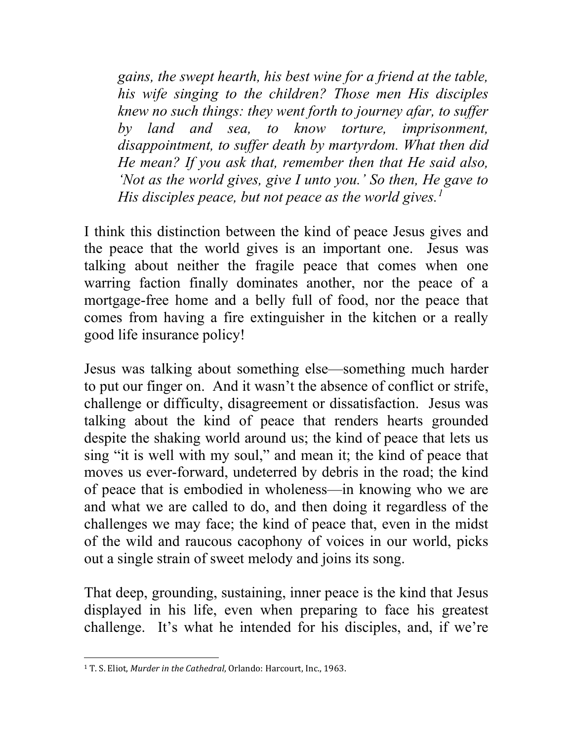*gains, the swept hearth, his best wine for a friend at the table, his wife singing to the children? Those men His disciples knew no such things: they went forth to journey afar, to suffer by land and sea, to know torture, imprisonment, disappointment, to suffer death by martyrdom. What then did He mean? If you ask that, remember then that He said also, 'Not as the world gives, give I unto you.' So then, He gave to His disciples peace, but not peace as the world gives.[1](#page-2-0)*

I think this distinction between the kind of peace Jesus gives and the peace that the world gives is an important one. Jesus was talking about neither the fragile peace that comes when one warring faction finally dominates another, nor the peace of a mortgage-free home and a belly full of food, nor the peace that comes from having a fire extinguisher in the kitchen or a really good life insurance policy!

Jesus was talking about something else—something much harder to put our finger on. And it wasn't the absence of conflict or strife, challenge or difficulty, disagreement or dissatisfaction. Jesus was talking about the kind of peace that renders hearts grounded despite the shaking world around us; the kind of peace that lets us sing "it is well with my soul," and mean it; the kind of peace that moves us ever-forward, undeterred by debris in the road; the kind of peace that is embodied in wholeness—in knowing who we are and what we are called to do, and then doing it regardless of the challenges we may face; the kind of peace that, even in the midst of the wild and raucous cacophony of voices in our world, picks out a single strain of sweet melody and joins its song.

That deep, grounding, sustaining, inner peace is the kind that Jesus displayed in his life, even when preparing to face his greatest challenge. It's what he intended for his disciples, and, if we're

<span id="page-2-0"></span><sup>1</sup> T. S. Eliot, *Murder in the Cathedral*, Orlando: Harcourt, Inc., 1963.